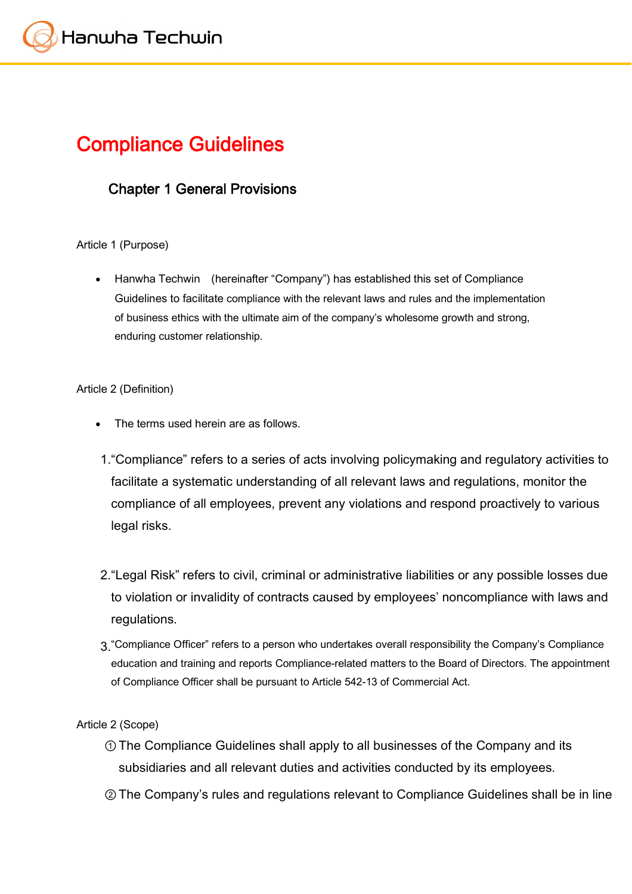# **Compliance Guidelines**

# **Chapter 1 General Provisions**

#### Article 1 (Purpose)

 Hanwha Techwin (hereinafter "Company") has established this set of Compliance Guidelines to facilitate compliance with the relevant laws and rules and the implementation of business ethics with the ultimate aim of the company's wholesome growth and strong, enduring customer relationship.

#### Article 2 (Definition)

- The terms used herein are as follows.
- 1."Compliance" refers to a series of acts involving policymaking and regulatory activities to facilitate a systematic understanding of all relevant laws and regulations, monitor the compliance of all employees, prevent any violations and respond proactively to various legal risks.
- 2."Legal Risk" refers to civil, criminal or administrative liabilities or any possible losses due to violation or invalidity of contracts caused by employees' noncompliance with laws and regulations.
- 3."Compliance Officer" refers to a person who undertakes overall responsibility the Company's Compliance education and training and reports Compliance-related matters to the Board of Directors. The appointment of Compliance Officer shall be pursuant to Article 542-13 of Commercial Act.

#### Article 2 (Scope)

- ①The Compliance Guidelines shall apply to all businesses of the Company and its subsidiaries and all relevant duties and activities conducted by its employees.
- ②The Company's rules and regulations relevant to Compliance Guidelines shall be in line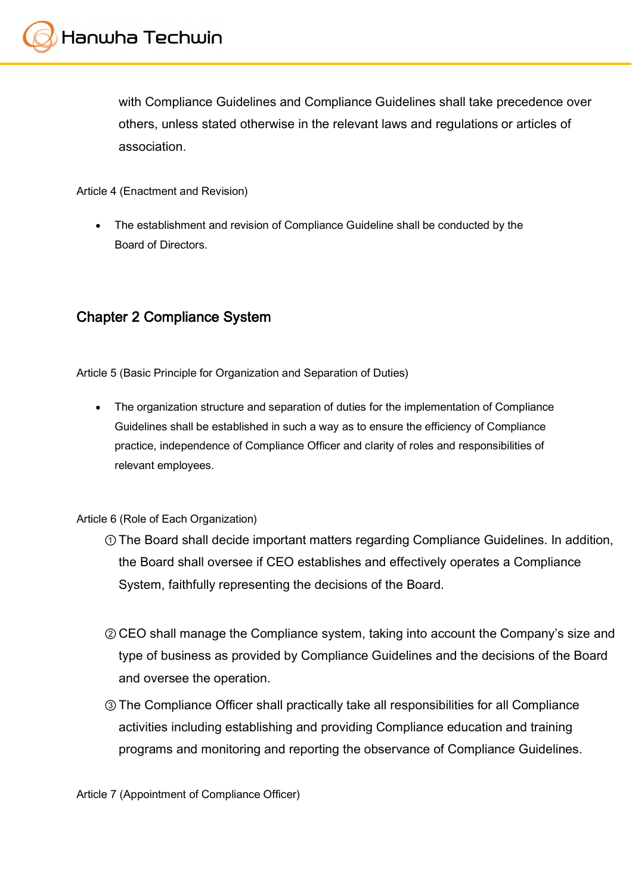with Compliance Guidelines and Compliance Guidelines shall take precedence over others, unless stated otherwise in the relevant laws and regulations or articles of association.

Article 4 (Enactment and Revision)

 The establishment and revision of Compliance Guideline shall be conducted by the Board of Directors.

## **Chapter 2 Compliance System**

Article 5 (Basic Principle for Organization and Separation of Duties)

• The organization structure and separation of duties for the implementation of Compliance Guidelines shall be established in such a way as to ensure the efficiency of Compliance practice, independence of Compliance Officer and clarity of roles and responsibilities of relevant employees.

Article 6 (Role of Each Organization)

- ①The Board shall decide important matters regarding Compliance Guidelines. In addition, the Board shall oversee if CEO establishes and effectively operates a Compliance System, faithfully representing the decisions of the Board.
- ②CEO shall manage the Compliance system, taking into account the Company's size and type of business as provided by Compliance Guidelines and the decisions of the Board and oversee the operation.
- ③The Compliance Officer shall practically take all responsibilities for all Compliance activities including establishing and providing Compliance education and training programs and monitoring and reporting the observance of Compliance Guidelines.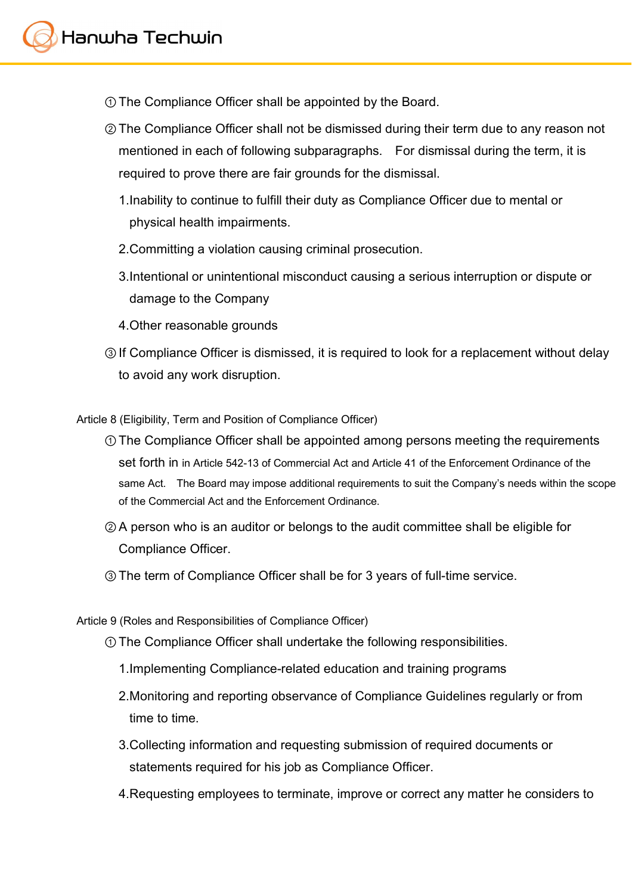- ①The Compliance Officer shall be appointed by the Board.
- ②The Compliance Officer shall not be dismissed during their term due to any reason not mentioned in each of following subparagraphs. For dismissal during the term, it is required to prove there are fair grounds for the dismissal.
	- 1.Inability to continue to fulfill their duty as Compliance Officer due to mental or physical health impairments.
	- 2.Committing a violation causing criminal prosecution.
	- 3.Intentional or unintentional misconduct causing a serious interruption or dispute or damage to the Company
	- 4.Other reasonable grounds
- ③If Compliance Officer is dismissed, it is required to look for a replacement without delay to avoid any work disruption.

Article 8 (Eligibility, Term and Position of Compliance Officer)

- ①The Compliance Officer shall be appointed among persons meeting the requirements set forth in in Article 542-13 of Commercial Act and Article 41 of the Enforcement Ordinance of the same Act. The Board may impose additional requirements to suit the Company's needs within the scope of the Commercial Act and the Enforcement Ordinance.
- ②A person who is an auditor or belongs to the audit committee shall be eligible for Compliance Officer.
- ③The term of Compliance Officer shall be for 3 years of full-time service.

Article 9 (Roles and Responsibilities of Compliance Officer)

- ①The Compliance Officer shall undertake the following responsibilities.
	- 1.Implementing Compliance-related education and training programs
	- 2.Monitoring and reporting observance of Compliance Guidelines regularly or from time to time.
	- 3.Collecting information and requesting submission of required documents or statements required for his job as Compliance Officer.
	- 4.Requesting employees to terminate, improve or correct any matter he considers to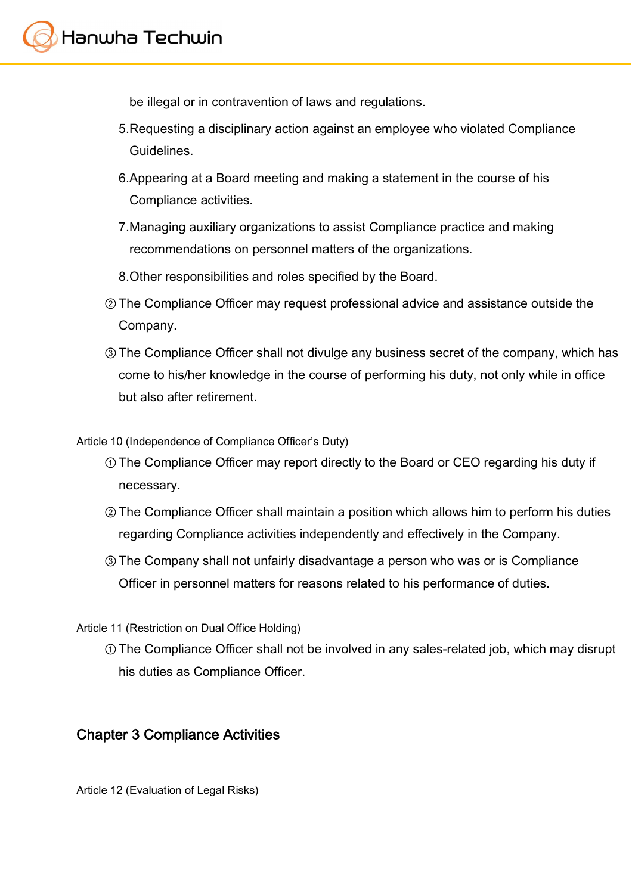be illegal or in contravention of laws and regulations.

- 5.Requesting a disciplinary action against an employee who violated Compliance Guidelines.
- 6.Appearing at a Board meeting and making a statement in the course of his Compliance activities.
- 7.Managing auxiliary organizations to assist Compliance practice and making recommendations on personnel matters of the organizations.
- 8.Other responsibilities and roles specified by the Board.
- ②The Compliance Officer may request professional advice and assistance outside the Company.
- ③The Compliance Officer shall not divulge any business secret of the company, which has come to his/her knowledge in the course of performing his duty, not only while in office but also after retirement.

Article 10 (Independence of Compliance Officer's Duty)

- ①The Compliance Officer may report directly to the Board or CEO regarding his duty if necessary.
- ②The Compliance Officer shall maintain a position which allows him to perform his duties regarding Compliance activities independently and effectively in the Company.
- ③The Company shall not unfairly disadvantage a person who was or is Compliance Officer in personnel matters for reasons related to his performance of duties.

Article 11 (Restriction on Dual Office Holding)

①The Compliance Officer shall not be involved in any sales-related job, which may disrupt his duties as Compliance Officer.

# **Chapter 3 Compliance Activities**

Article 12 (Evaluation of Legal Risks)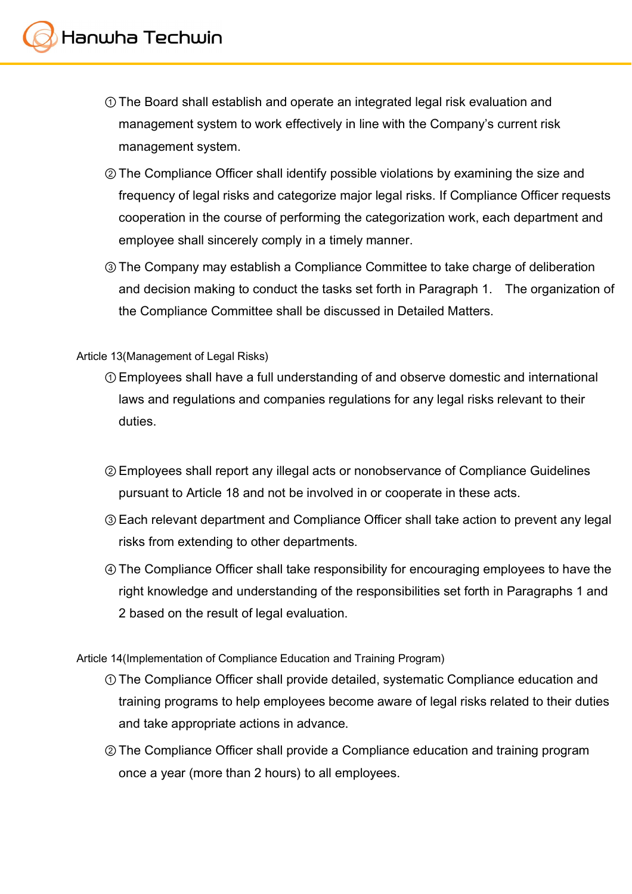- ①The Board shall establish and operate an integrated legal risk evaluation and management system to work effectively in line with the Company's current risk management system.
- ②The Compliance Officer shall identify possible violations by examining the size and frequency of legal risks and categorize major legal risks. If Compliance Officer requests cooperation in the course of performing the categorization work, each department and employee shall sincerely comply in a timely manner.
- ③The Company may establish a Compliance Committee to take charge of deliberation and decision making to conduct the tasks set forth in Paragraph 1. The organization of the Compliance Committee shall be discussed in Detailed Matters.

#### Article 13(Management of Legal Risks)

- ①Employees shall have a full understanding of and observe domestic and international laws and regulations and companies regulations for any legal risks relevant to their duties.
- ②Employees shall report any illegal acts or nonobservance of Compliance Guidelines pursuant to Article 18 and not be involved in or cooperate in these acts.
- ③Each relevant department and Compliance Officer shall take action to prevent any legal risks from extending to other departments.
- ④The Compliance Officer shall take responsibility for encouraging employees to have the right knowledge and understanding of the responsibilities set forth in Paragraphs 1 and 2 based on the result of legal evaluation.

Article 14(Implementation of Compliance Education and Training Program)

- ①The Compliance Officer shall provide detailed, systematic Compliance education and training programs to help employees become aware of legal risks related to their duties and take appropriate actions in advance.
- ②The Compliance Officer shall provide a Compliance education and training program once a year (more than 2 hours) to all employees.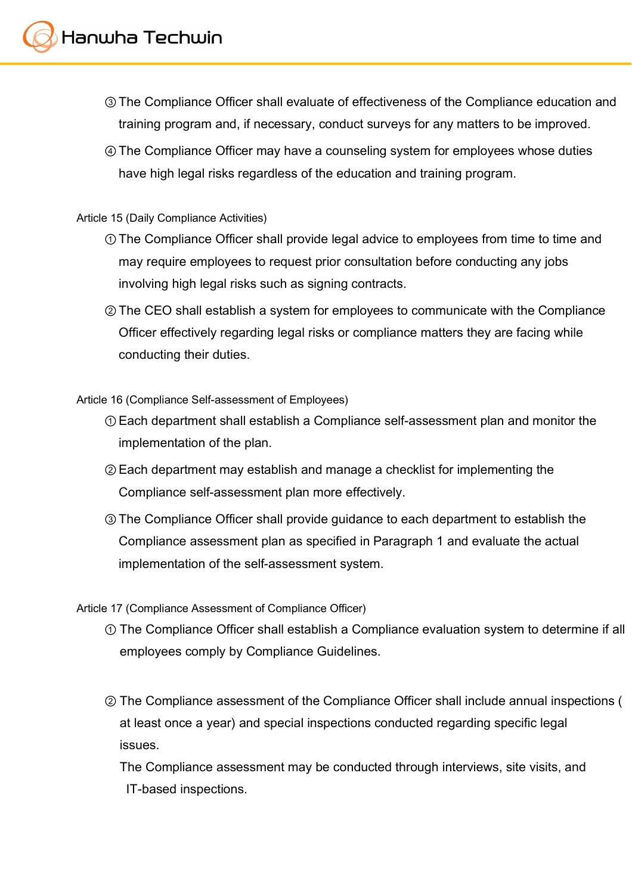- ③The Compliance Officer shall evaluate of effectiveness of the Compliance education and training program and, if necessary, conduct surveys for any matters to be improved.
- ④The Compliance Officer may have a counseling system for employees whose duties have high legal risks regardless of the education and training program.

#### Article 15 (Daily Compliance Activities)

- ①The Compliance Officer shall provide legal advice to employees from time to time and may require employees to request prior consultation before conducting any jobs involving high legal risks such as signing contracts.
- ②The CEO shall establish a system for employees to communicate with the Compliance Officer effectively regarding legal risks or compliance matters they are facing while conducting their duties.

Article 16 (Compliance Self-assessment of Employees)

- ①Each department shall establish a Compliance self-assessment plan and monitor the implementation of the plan.
- ②Each department may establish and manage a checklist for implementing the Compliance self-assessment plan more effectively.
- ③The Compliance Officer shall provide guidance to each department to establish the Compliance assessment plan as specified in Paragraph 1 and evaluate the actual implementation of the self-assessment system.

Article 17 (Compliance Assessment of Compliance Officer)

- ① The Compliance Officer shall establish a Compliance evaluation system to determine if all employees comply by Compliance Guidelines.
- ② The Compliance assessment of the Compliance Officer shall include annual inspections ( at least once a year) and special inspections conducted regarding specific legal issues.

The Compliance assessment may be conducted through interviews, site visits, and IT-based inspections.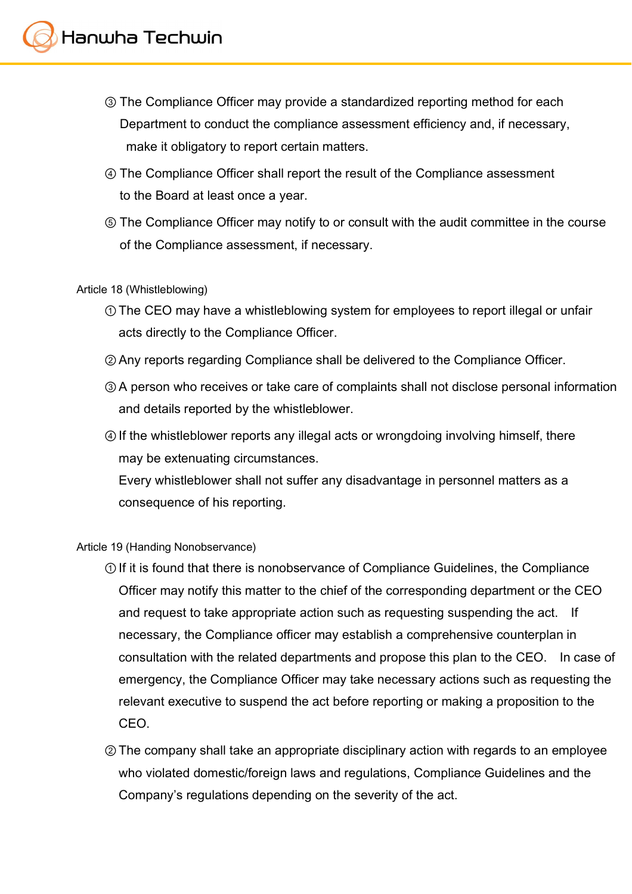- ③ The Compliance Officer may provide a standardized reporting method for each Department to conduct the compliance assessment efficiency and, if necessary, make it obligatory to report certain matters.
- ④ The Compliance Officer shall report the result of the Compliance assessment to the Board at least once a year.
- ⑤ The Compliance Officer may notify to or consult with the audit committee in the course of the Compliance assessment, if necessary.

#### Article 18 (Whistleblowing)

- ①The CEO may have a whistleblowing system for employees to report illegal or unfair acts directly to the Compliance Officer.
- ②Any reports regarding Compliance shall be delivered to the Compliance Officer.
- ③A person who receives or take care of complaints shall not disclose personal information and details reported by the whistleblower.
- ④If the whistleblower reports any illegal acts or wrongdoing involving himself, there may be extenuating circumstances.

Every whistleblower shall not suffer any disadvantage in personnel matters as a consequence of his reporting.

#### Article 19 (Handing Nonobservance)

- ①If it is found that there is nonobservance of Compliance Guidelines, the Compliance Officer may notify this matter to the chief of the corresponding department or the CEO and request to take appropriate action such as requesting suspending the act. If necessary, the Compliance officer may establish a comprehensive counterplan in consultation with the related departments and propose this plan to the CEO. In case of emergency, the Compliance Officer may take necessary actions such as requesting the relevant executive to suspend the act before reporting or making a proposition to the CEO.
- ②The company shall take an appropriate disciplinary action with regards to an employee who violated domestic/foreign laws and regulations, Compliance Guidelines and the Company's regulations depending on the severity of the act.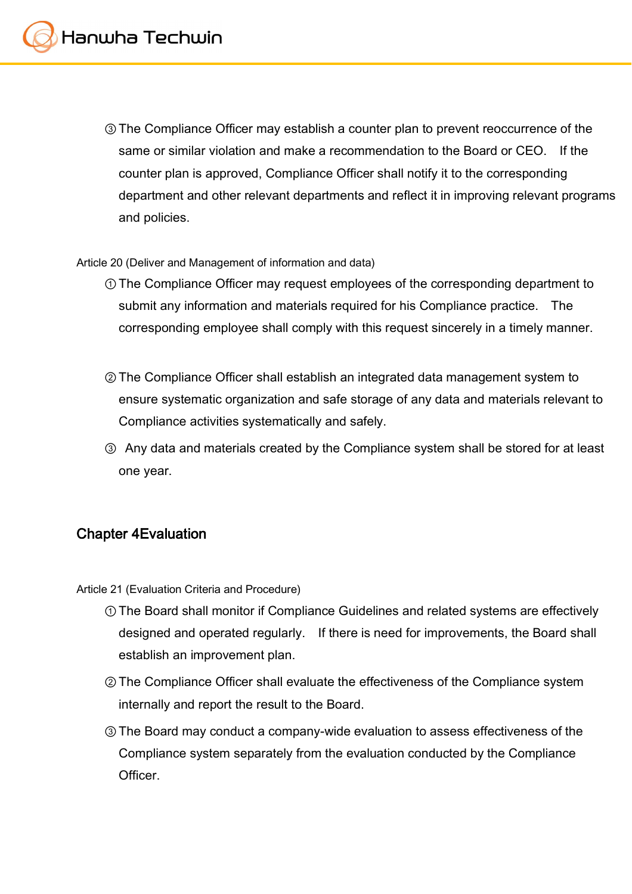③The Compliance Officer may establish a counter plan to prevent reoccurrence of the same or similar violation and make a recommendation to the Board or CEO. If the counter plan is approved, Compliance Officer shall notify it to the corresponding department and other relevant departments and reflect it in improving relevant programs and policies.

Article 20 (Deliver and Management of information and data)

- ①The Compliance Officer may request employees of the corresponding department to submit any information and materials required for his Compliance practice. The corresponding employee shall comply with this request sincerely in a timely manner.
- ②The Compliance Officer shall establish an integrated data management system to ensure systematic organization and safe storage of any data and materials relevant to Compliance activities systematically and safely.
- ③ Any data and materials created by the Compliance system shall be stored for at least one year.

# **Chapter 4Evaluation**

Article 21 (Evaluation Criteria and Procedure)

- ①The Board shall monitor if Compliance Guidelines and related systems are effectively designed and operated regularly. If there is need for improvements, the Board shall establish an improvement plan.
- ②The Compliance Officer shall evaluate the effectiveness of the Compliance system internally and report the result to the Board.
- ③The Board may conduct a company-wide evaluation to assess effectiveness of the Compliance system separately from the evaluation conducted by the Compliance **Officer**